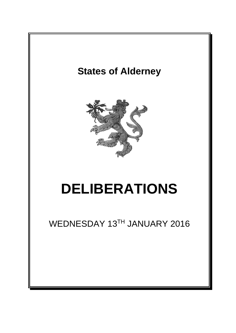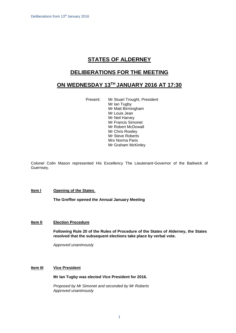# **STATES OF ALDERNEY**

# **DELIBERATIONS FOR THE MEETING**

# **ON WEDNESDAY 13 TH JANUARY 2016 AT 17:30**

Present: Mr Stuart Trought, President Mr Ian Tugby Mr Matt Birmingham Mr Louis Jean Mr Neil Harvey Mr Francis Simonet Mr Robert McDowall Mr Chris Rowley Mr Steve Roberts Mrs Norma Paris Mr Graham McKinley

Colonel Colin Mason represented His Excellency The Lieutenant-Governor of the Bailiwick of Guernsey.

## **Item l Opening of the States**.

**The Greffier opened the Annual January Meeting**

## **Item lI Election Procedure**

**Following Rule 20 of the Rules of Procedure of the States of Alderney, the States resolved that the subsequent elections take place by verbal vote.**

*Approved unanimously*

# **Item III Vice President**

## **Mr Ian Tugby was elected Vice President for 2016.**

*Proposed by Mr Simonet and seconded by Mr Roberts Approved unanimously*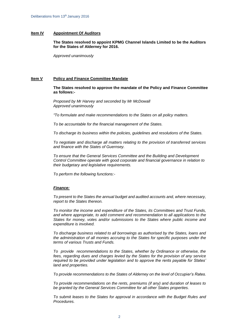## **Item IV Appointment Of Auditors**

**The States resolved to appoint KPMG Channel Islands Limited to be the Auditors for the States of Alderney for 2016.**

*Approved unanimously*

## **Item V Policy and Finance Committee Mandate**

**The States resolved to approve the mandate of the Policy and Finance Committee as follows:-**

*Proposed by Mr Harvey and seconded by Mr McDowall Approved unanimously*

*"To formulate and make recommendations to the States on all policy matters.*

*To be accountable for the financial management of the States.*

*To discharge its business within the policies, guidelines and resolutions of the States.*

*To negotiate and discharge all matters relating to the provision of transferred services and finance with the States of Guernsey.*

*To ensure that the General Services Committee and the Building and Development Control Committee operate with good corporate and financial governance in relation to their budgetary and legislative requirements.*

*To perform the following functions:-*

## *Finance:*

*To present to the States the annual budget and audited accounts and, where necessary, report to the States thereon.*

*To monitor the income and expenditure of the States, its Committees and Trust Funds, and where appropriate, to add comment and recommendation to all applications to the States for money, votes and/or submissions to the States where public income and expenditure is involved.*

*To discharge business related to all borrowings as authorised by the States, loans and the administration of all monies accruing to the States for specific purposes under the terms of various Trusts and Funds.*

*To provide recommendations to the States, whether by Ordinance or otherwise, the fees, regarding dues and charges levied by the States for the provision of any service required to be provided under legislation and to approve the rents payable for States' land and properties.* 

*To provide recommendations to the States of Alderney on the level of Occupier's Rates.*

*To provide recommendations on the rents, premiums (if any) and duration of leases to be granted by the General Services Committee for all other States properties.*

*To submit leases to the States for approval in accordance with the Budget Rules and Procedures.*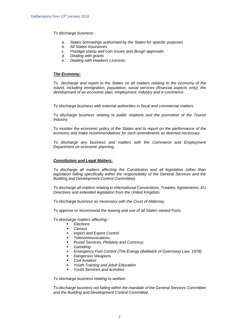*To discharge business:-*

- *a. States borrowings authorised by the States for specific purposes*
- *b. All States insurances*
- *c. Postage stamp and coin issues and design approvals*
- *d. Dealing with grants*
- *e. Dealing with Hawkers Licences.*

## *The Economy:*

*To discharge and report to the States on all matters relating to the economy of the Island, including immigration, population, social services (financial aspects only), the development of an economic plan, employment, industry and e-commerce.*

*To discharge business with external authorities in fiscal and commercial matters.* 

*To discharge business relating to public relations and the promotion of the Tourist Industry.*

*To monitor the economic policy of the States and to report on the performance of the economy and make recommendations for such amendments as deemed necessary.*

*To discharge any business and matters with the Commerce and Employment Department on economic planning.*

## *Constitution and Legal Matters:*

*To discharge all matters affecting the Constitution and all legislation (other than legislation falling specifically within the responsibility of the General Services and the Building and Development Control Committee).* 

*To discharge all matters relating to International Conventions, Treaties, Agreements, EU Directives and extended legislation from the United Kingdom.*

*To discharge business as necessary with the Court of Alderney.*

*To approve or recommend the leasing and use of all States-owned Forts.*

*To discharge matters affecting:-*

- *Elections*
- *Census*
- *Import and Export Control*
- *Telecommunications*
- *Postal Services, Philately and Currency;*
- *Gambling*
- *Emergency Fuel Control (The Energy (Bailiwick of Guernsey) Law, 1978)*
- *Dangerous Weapons*
- *Civil Aviation*
- *Youth Training and Adult Education*
- *Youth Services and activities*

*To discharge business relating to welfare.*

*To discharge business not falling within the mandate of the General Services Committee and the Building and Development Control Committee.*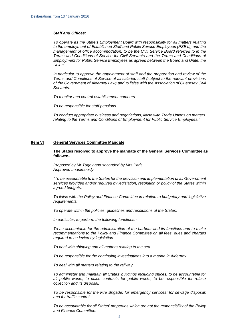## *Staff and Offices:*

*To operate as the State's Employment Board with responsibility for all matters relating to the employment of Established Staff and Public Service Employees (PSE's); and the management of office accommodation; to be the Civil Service Board referred to in the Terms and Conditions of Service for Civil Servants and the Terms and Conditions of Employment for Public Service Employees as agreed between the Board and Unite, the Union.* 

*In particular to approve the appointment of staff and the preparation and review of the Terms and Conditions of Service of all salaried staff (subject to the relevant provisions of the Government of Alderney Law) and to liaise with the Association of Guernsey Civil Servants.*

*To monitor and control establishment numbers.*

*To be responsible for staff pensions.*

*To conduct appropriate business and negotiations, liaise with Trade Unions on matters relating to the Terms and Conditions of Employment for Public Service Employees."*

#### **Item VI General Services Committee Mandate**

**The States resolved to approve the mandate of the General Services Committee as follows:-**

*Proposed by Mr Tugby and seconded by Mrs Paris Approved unanimously*

*"To be accountable to the States for the provision and implementation of all Government services provided and/or required by legislation, resolution or policy of the States within agreed budgets.*

*To liaise with the Policy and Finance Committee in relation to budgetary and legislative requirements.*

*To operate within the policies, guidelines and resolutions of the States.*

*In particular, to perform the following functions:-*

*To be accountable for the administration of the harbour and its functions and to make recommendations to the Policy and Finance Committee on all fees, dues and charges required to be levied by legislation.*

*To deal with shipping and all matters relating to the sea.*

*To be responsible for the continuing investigations into a marina in Alderney.*

*To deal with all matters relating to the railway.*

*To administer and maintain all States' buildings including offices; to be accountable for all public works; to place contracts for public works; to be responsible for refuse collection and its disposal.*

*To be responsible for the Fire Brigade; for emergency services; for sewage disposal; and for traffic control.*

*To be accountable for all States' properties which are not the responsibility of the Policy and Finance Committee.*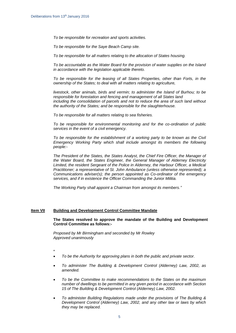*To be responsible for recreation and sports activities.* 

*To be responsible for the Saye Beach Camp site.*

*To be responsible for all matters relating to the allocation of States housing.*

*To be accountable as the Water Board for the provision of water supplies on the Island in accordance with the legislation applicable thereto.*

*To be responsible for the leasing of all States Properties, other than Forts, in the ownership of the States; to deal with all matters relating to agriculture,* 

*livestock, other animals, birds and vermin; to administer the Island of Burhou; to be responsible for forestation and fencing and management of all States land including the consolidation of parcels and not to reduce the area of such land without the authority of the States; and be responsible for the slaughterhouse.*

*To be responsible for all matters relating to sea fisheries.*

*To be responsible for environmental monitoring and for the co-ordination of public services in the event of a civil emergency.* 

*To be responsible for the establishment of a working party to be known as the Civil Emergency Working Party which shall include amongst its members the following people:-*

*The President of the States, the States Analyst, the Chief Fire Officer, the Manager of the Water Board, the States Engineer, the General Manager of Alderney Electricity Limited, the resident Sergeant of the Police in Alderney, the Harbour Officer, a Medical Practitioner; a representative of St. John Ambulance (unless otherwise represented); a Communications adviser(s); the person appointed as Co-ordinator of the emergency services, and if in existence the Officer Commanding the Junior Militia.*

*The Working Party shall appoint a Chairman from amongst its members."*

#### **Item VII Building and Development Control Committee Mandate**

## **The States resolved to approve the mandate of the Building and Development Control Committee as follows:-**

*Proposed by Mr Birmingham and seconded by Mr Rowley Approved unanimously*

- **"**
- *To be the Authority for approving plans in both the public and private sector.*
- *To administer The Building & Development Control (Alderney) Law, 2002, as amended.*
- *To be the Committee to make recommendations to the States on the maximum number of dwellings to be permitted in any given period in accordance with Section 15 of The Building & Development Control (Alderney) Law, 2002.*
- *To administer Building Regulations made under the provisions of The Building & Development Control (Alderney) Law, 2002, and any other law or laws by which they may be replaced.*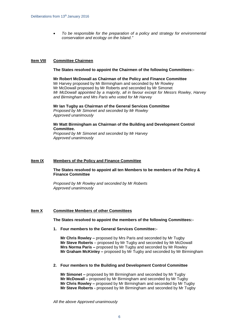*To be responsible for the preparation of a policy and strategy for environmental conservation and ecology on the Island."*

## **Item VIII Committee Chairmen**

#### **The States resolved to appoint the Chairmen of the following Committees:-**

**Mr Robert McDowall as Chairman of the Policy and Finance Committee** Mr Harvey proposed by Mr Birmingham and seconded by Mr Rowley Mr McDowall proposed by Mr Roberts and seconded by Mr Simonet *Mr McDowall appointed by a majority, all in favour except for Messrs Rowley, Harvey and Birmingham and Mrs Paris who voted for Mr Harvey*

**Mr Ian Tugby as Chairman of the General Services Committee** *Proposed by Mr Simonet and seconded by Mr Rowley Approved unanimously*

## **Mr Matt Birmingham as Chairman of the Building and Development Control Committee.**

*Proposed by Mr Simonet and seconded by Mr Harvey Approved unanimously*

#### **Item IX Members of the Policy and Finance Committee**

**The States resolved to appoint all ten Members to be members of the Policy & Finance Committee**

*Proposed by Mr Rowley and seconded by Mr Roberts Approved unanimously*

#### **Item X Committee Members of other Committees**

#### **The States resolved to appoint the members of the following Committees:-**

**1. Four members to the General Services Committee:-**

**Mr Chris Rowley –** proposed by Mrs Paris and seconded by Mr Tugby **Mr Steve Roberts** – proposed by Mr Tugby and seconded by Mr McDowall **Mrs Norma Paris –** proposed by Mr Tugby and seconded by Mr Rowley **Mr Graham McKinley –** proposed by Mr Tugby and seconded by Mr Birmingham

#### **2. Four members to the Building and Development Control Committee**

**Mr Simonet –** proposed by Mr Birmingham and seconded by Mr Tugby **Mr McDowall –** proposed by Mr Birmingham and seconded by Mr Tugby **Mr Chris Rowley –** proposed by Mr Birmingham and seconded by Mr Tugby **Mr Steve Roberts -** proposed by Mr Birmingham and seconded by Mr Tugby

*All the above Approved unanimously*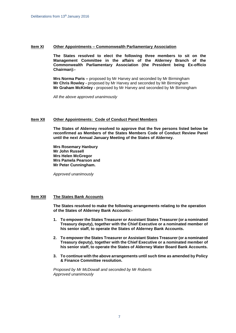## **Item XI Other Appointments – Commonwealth Parliamentary Association**

**The States resolved to elect the following three members to sit on the Management Committee in the affairs of the Alderney Branch of the Commonwealth Parliamentary Association (the President being Ex-officio Chairman):-**

**Mrs Norma Paris –** proposed by Mr Harvey and seconded by Mr Birmingham **Mr Chris Rowley -** proposed by Mr Harvey and seconded by Mr Birmingham **Mr Graham McKinley -** proposed by Mr Harvey and seconded by Mr Birmingham

*All the above approved unanimously*

## **Item XII Other Appointments: Code of Conduct Panel Members**

**The States of Alderney resolved to approve that the five persons listed below be reconfirmed as Members of the States Members Code of Conduct Review Panel until the next Annual January Meeting of the States of Alderney.**

**Mrs Rosemary Hanbury Mr John Russell Mrs Helen McGregor Mrs Pamela Pearson and Mr Peter Cunningham.**

*Approved unanimously*

## **Item XIII The States Bank Accounts**

**The States resolved to make the following arrangements relating to the operation of the States of Alderney Bank Accounts:-**

- **1. To empower the States Treasurer or Assistant States Treasurer (or a nominated Treasury deputy), together with the Chief Executive or a nominated member of his senior staff, to operate the States of Alderney Bank Accounts.**
- **2. To empower the States Treasurer or Assistant States Treasurer (or a nominated Treasury deputy), together with the Chief Executive or a nominated member of his senior staff, to operate the States of Alderney Water Board Bank Accounts.**
- **3. To continue with the above arrangements until such time as amended by Policy & Finance Committee resolution.**

*Proposed by Mr McDowall and seconded by Mr Roberts Approved unanimously*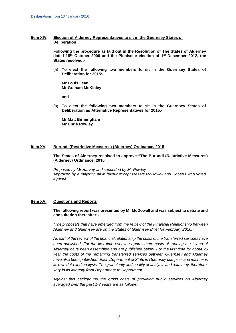## **Item XIV Election of Alderney Representatives to sit in the Guernsey States of Deliberation**

**Following the procedure as laid out in the Resolution of The States of Alderney dated 18th October 2006 and the Plebiscite election of 1st December 2012, the States resolved:-**

(a) **To elect the following two members to sit in the Guernsey States of Deliberation for 2015:-**

**Mr Louis Jean Mr Graham McKinley**

**and**

(b) **To elect the following two members to sit in the Guernsey States of Deliberation as Alternative Representatives for 2015:-**

**Mr Matt Birmingham Mr Chris Rowley**

## **Item XV Burundi (Restrictive Measures) (Alderney) Ordinance, 2015**

**The States of Alderney resolved to approve "The Burundi (Restrictive Measures) (Alderney) Ordinance, 2016".**

*Proposed by Mr Harvey and seconded by Mr Rowley Approved by a majority, all in favour except Messrs McDowall and Roberts who voted against*

## **Item XVI Questions and Reports**

## **The following report was presented by Mr McDowall and was subject to debate and consultation thereafter:-**

*"The proposals that have emerged from the review of the Financial Relationship between Alderney and Guernsey are on the States of Guernsey Billet for February 2016.*

*As part of the review of the financial relationship the costs of the transferred services have been published. For the first time ever the approximate costs of running the Island of Alderney have been assembled and are published below. For the first time for about 25 year the costs of the remaining transferred services between Guernsey and Alderney have also been published. Each Department of State in Guernsey compiles and maintains its own data and analysis. The granularity and quality of analysis and data may, therefore, vary in its integrity from Department to Department.*

*Against this background the gross costs of providing public services on Alderney averaged over the past 1-3 years are as follows:*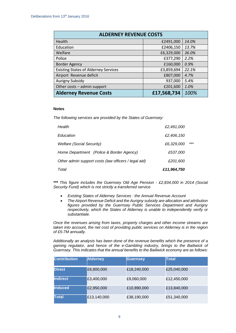| <b>ALDERNEY REVENUE COSTS</b>               |             |       |  |  |  |
|---------------------------------------------|-------------|-------|--|--|--|
| Health                                      | £2491,000   | 14.0% |  |  |  |
| Education                                   | £2406,150   | 13.7% |  |  |  |
| Welfare                                     | £6,329,000  | 36.0% |  |  |  |
| Police                                      | £377,290    | 2.2%  |  |  |  |
| <b>Border Agency</b>                        | £160,000    | 0.9%  |  |  |  |
| <b>Existing States of Alderney Services</b> | £3,859,694  | 22.1% |  |  |  |
| Airport Revenue deficit                     | £807,000    | 4.7%  |  |  |  |
| <b>Aurigny Subsidy</b>                      | 937,000     | 5.4%  |  |  |  |
| Other costs - admin support                 | £201,600    | 1.0%  |  |  |  |
| <b>Alderney Revenue Costs</b>               | £17,568,734 | 100%  |  |  |  |

## **Notes**

*The following services are provided by the States of Guernsey:*

| Total                                                | £11,964,750 |       |
|------------------------------------------------------|-------------|-------|
| Other admin support costs (law officers / legal aid) | £201,600    |       |
| Home Department (Police & Border Agency)             | £537,000    |       |
| <b>Welfare (Social Security)</b>                     | £6,329,000  | $***$ |
| Education                                            | £2,406,150  |       |
| Health                                               | £2,491,000  |       |

*\*\*\* This figure includes the Guernsey Old Age Pension - £2,834,000 in 2014 (Social Security Fund) which is not strictly a transferred service*

- *Existing States of Alderney Services : the Annual Revenue Account*
- *The Airport Revenue Deficit and the Aurigny subsidy are allocation and attribution figures provided by the Guernsey Public Services Department and Aurigny respectively, which the States of Alderney is unable to independently verify or substantiate.*

*Once the revenues arising from taxes, property charges and other income streams are taken into account, the net cost of providing public services on Alderney is in the region of £5-7M annually.*

*Additionally an analysis has been done of the revenue benefits which the presence of a gaming regulator, and hence of the e-Gambling industry, brings to the Bailiwick of Guernsey. This indicates that the annual benefits to the Bailiwick economy are as follows:*

| <b>Contribution</b> | <b>Alderney</b> | <b>Guernsey</b> | <b>Total</b> |
|---------------------|-----------------|-----------------|--------------|
| <b>Direct</b>       | £6,800,000      | £18,240,000     | £25,040,000  |
| <b>Indirect</b>     | £3,400,000      | £9,060,000      | £12,450,000  |
| <b>Induced</b>      | £2,950,000      | £10,890,000     | £13,840,000  |
| <b>Total</b>        | £13,140,000     | £38,190,000     | £51,340,000  |